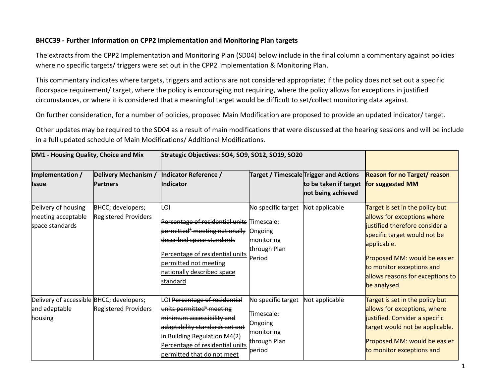## **BHCC39 - Further Information on CPP2 Implementation and Monitoring Plan targets**

The extracts from the CPP2 Implementation and Monitoring Plan (SD04) below include in the final column a commentary against policies where no specific targets/ triggers were set out in the CPP2 Implementation & Monitoring Plan.

This commentary indicates where targets, triggers and actions are not considered appropriate; if the policy does not set out a specific floorspace requirement/ target, where the policy is encouraging not requiring, where the policy allows for exceptions in justified circumstances, or where it is considered that a meaningful target would be difficult to set/collect monitoring data against.

On further consideration, for a number of policies, proposed Main Modification are proposed to provide an updated indicator/ target.

Other updates may be required to the SD04 as a result of main modifications that were discussed at the hearing sessions and will be include in a full updated schedule of Main Modifications/ Additional Modifications.

| DM1 - Housing Quality, Choice and Mix                                |                                                  | Strategic Objectives: SO4, SO9, SO12, SO19, SO20                                                                                                                                                                                      |                                                                                     |                                                                                      |                                                                                                                                                                                                                                                                  |
|----------------------------------------------------------------------|--------------------------------------------------|---------------------------------------------------------------------------------------------------------------------------------------------------------------------------------------------------------------------------------------|-------------------------------------------------------------------------------------|--------------------------------------------------------------------------------------|------------------------------------------------------------------------------------------------------------------------------------------------------------------------------------------------------------------------------------------------------------------|
| Implementation /<br><b>Issue</b>                                     | Delivery Mechanism /<br><b>Partners</b>          | Indicator Reference /<br><b>Indicator</b>                                                                                                                                                                                             |                                                                                     | Target / TimescaleTrigger and Actions<br>to be taken if target<br>not being achieved | <b>Reason for no Target/ reason</b><br>for suggested MM                                                                                                                                                                                                          |
| Delivery of housing<br>meeting acceptable<br>space standards         | BHCC; developers;<br><b>Registered Providers</b> | LOI<br>Percentage of residential units Timescale:<br>permitted <sup>1</sup> meeting nationally<br>described space standards<br>Percentage of residential units<br>permitted not meeting<br>nationally described space<br>standard     | No specific target<br>Ongoing<br>monitoring<br>through Plan<br>Period               | Not applicable                                                                       | Target is set in the policy but<br>allows for exceptions where<br>justified therefore consider a<br>specific target would not be<br>applicable.<br>Proposed MM: would be easier<br>to monitor exceptions and<br>allows reasons for exceptions to<br>be analysed. |
| Delivery of accessible BHCC; developers;<br>and adaptable<br>housing | <b>Registered Providers</b>                      | LOI Percentage of residential<br>units permitted <sup>+</sup> meeting<br>minimum accessibility and<br>adaptability standards set out<br>in Building Regulation M4(2)<br>Percentage of residential units<br>permitted that do not meet | No specific target<br>Timescale:<br>Ongoing<br>monitoring<br>through Plan<br>period | Not applicable                                                                       | Target is set in the policy but<br>allows for exceptions, where<br>justified. Consider a specific<br>target would not be applicable.<br>Proposed MM: would be easier<br>to monitor exceptions and                                                                |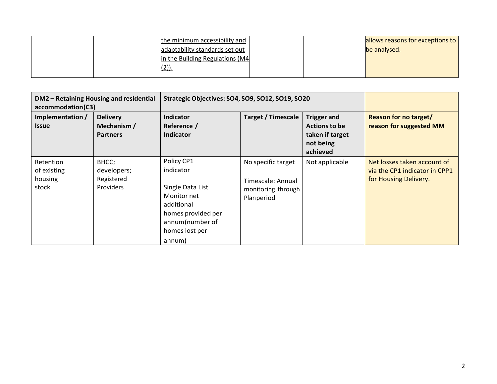|  | the minimum accessibility and   |  | allows reasons for exceptions to |
|--|---------------------------------|--|----------------------------------|
|  | adaptability standards set out  |  | be analysed.                     |
|  | in the Building Regulations (M4 |  |                                  |
|  | $(2)$ ).                        |  |                                  |
|  |                                 |  |                                  |

| DM2 - Retaining Housing and residential<br>accommodation(C3) |                                                   | Strategic Objectives: SO4, SO9, SO12, SO19, SO20                                                                                              |                                                                             |                                                                                        |                                                                                       |
|--------------------------------------------------------------|---------------------------------------------------|-----------------------------------------------------------------------------------------------------------------------------------------------|-----------------------------------------------------------------------------|----------------------------------------------------------------------------------------|---------------------------------------------------------------------------------------|
| Implementation /<br><b>Issue</b>                             | <b>Delivery</b><br>Mechanism /<br><b>Partners</b> | Indicator<br>Reference /<br>Indicator                                                                                                         | <b>Target / Timescale</b>                                                   | <b>Trigger and</b><br><b>Actions to be</b><br>taken if target<br>not being<br>achieved | <b>Reason for no target/</b><br>reason for suggested MM                               |
| Retention<br>of existing<br>housing<br>stock                 | BHCC;<br>developers;<br>Registered<br>Providers   | Policy CP1<br>indicator<br>Single Data List<br>Monitor net<br>additional<br>homes provided per<br>annum(number of<br>homes lost per<br>annum) | No specific target<br>Timescale: Annual<br>monitoring through<br>Planperiod | Not applicable                                                                         | Net losses taken account of<br>via the CP1 indicator in CPP1<br>for Housing Delivery. |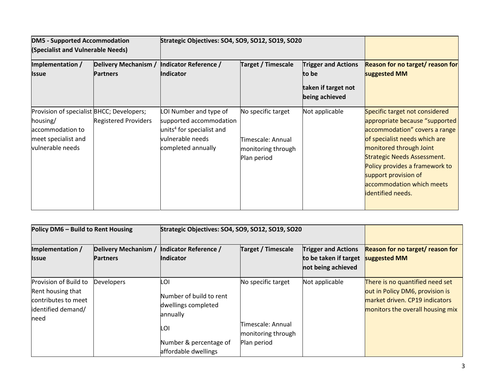| <b>DM5 - Supported Accommodation</b><br>(Specialist and Vulnerable Needs)                                            |                                         | Strategic Objectives: SO4, SO9, SO12, SO19, SO20                                                                                     |                                                                              |                                                                              |                                                                                                                                                                                                                                                                                                                        |
|----------------------------------------------------------------------------------------------------------------------|-----------------------------------------|--------------------------------------------------------------------------------------------------------------------------------------|------------------------------------------------------------------------------|------------------------------------------------------------------------------|------------------------------------------------------------------------------------------------------------------------------------------------------------------------------------------------------------------------------------------------------------------------------------------------------------------------|
| Implementation /<br><b>Issue</b>                                                                                     | Delivery Mechanism /<br><b>Partners</b> | Indicator Reference /<br>Indicator                                                                                                   | <b>Target / Timescale</b>                                                    | <b>Trigger and Actions</b><br>to be<br>taken if target not<br>being achieved | <b>Reason for no target/ reason for</b><br>suggested MM                                                                                                                                                                                                                                                                |
| Provision of specialist BHCC; Developers;<br>housing/<br>accommodation to<br>meet specialist and<br>vulnerable needs | <b>Registered Providers</b>             | LOI Number and type of<br>supported accommodation<br>units <sup>4</sup> for specialist and<br>vulnerable needs<br>completed annually | No specific target<br>Timescale: Annual<br>monitoring through<br>Plan period | Not applicable                                                               | Specific target not considered<br>appropriate because "supported<br>accommodation" covers a range<br>of specialist needs which are<br>monitored through Joint<br><b>Strategic Needs Assessment.</b><br>Policy provides a framework to<br>support provision of<br>accommodation which meets<br><b>identified needs.</b> |

| Policy DM6 - Build to Rent Housing                                                               |                                         | Strategic Objectives: SO4, SO9, SO12, SO19, SO20                                                                           |                                                                              |                                                                           |                                                                                                                                          |
|--------------------------------------------------------------------------------------------------|-----------------------------------------|----------------------------------------------------------------------------------------------------------------------------|------------------------------------------------------------------------------|---------------------------------------------------------------------------|------------------------------------------------------------------------------------------------------------------------------------------|
| Implementation /<br><b>Issue</b>                                                                 | Delivery Mechanism /<br><b>Partners</b> | Indicator Reference /<br><b>Indicator</b>                                                                                  | <b>Target / Timescale</b>                                                    | <b>Trigger and Actions</b><br>to be taken if target<br>not being achieved | Reason for no target/ reason for<br>suggested MM                                                                                         |
| Provision of Build to<br>Rent housing that<br>contributes to meet<br>identified demand/<br>lneed | <b>Developers</b>                       | LOI<br>Number of build to rent<br>dwellings completed<br>annually<br>LOI<br>Number & percentage of<br>affordable dwellings | No specific target<br>Timescale: Annual<br>monitoring through<br>Plan period | Not applicable                                                            | There is no quantified need set<br>out in Policy DM6, provision is<br>market driven. CP19 indicators<br>monitors the overall housing mix |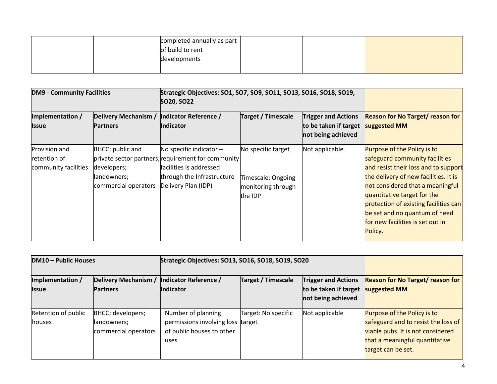|  | completed annually as part |  |  |
|--|----------------------------|--|--|
|  | of build to rent           |  |  |
|  | developments               |  |  |
|  |                            |  |  |

| <b>DM9 - Community Facilities</b>                     |                                                                        | Strategic Objectives: SO1, SO7, SO9, SO11, SO13, SO16, SO18, SO19,<br><b>SO20, SO22</b>                                                                         |                                                                           |                                                                           |                                                                                                                                                                                                                                                                                                                                            |
|-------------------------------------------------------|------------------------------------------------------------------------|-----------------------------------------------------------------------------------------------------------------------------------------------------------------|---------------------------------------------------------------------------|---------------------------------------------------------------------------|--------------------------------------------------------------------------------------------------------------------------------------------------------------------------------------------------------------------------------------------------------------------------------------------------------------------------------------------|
| Implementation /<br><b>Issue</b>                      | Delivery Mechanism /<br><b>Partners</b>                                | Indicator Reference /<br><b>Indicator</b>                                                                                                                       | <b>Target / Timescale</b>                                                 | <b>Trigger and Actions</b><br>to be taken if target<br>not being achieved | <b>Reason for No Target/ reason for</b><br>suggested MM                                                                                                                                                                                                                                                                                    |
| Provision and<br>retention of<br>community facilities | BHCC; public and<br>developers;<br>landowners;<br>commercial operators | No specific indicator $-$<br>private sector partners; requirement for community<br>facilities is addressed<br>through the Infrastructure<br>Delivery Plan (IDP) | No specific target<br>Timescale: Ongoing<br>monitoring through<br>the IDP | Not applicable                                                            | Purpose of the Policy is to<br>safeguard community facilities<br>and resist their loss and to support<br>the delivery of new facilities. It is<br>not considered that a meaningful<br>quantitative target for the<br>protection of existing facilities can<br>be set and no quantum of need<br>for new facilities is set out in<br>Policy. |

| <b>DM10 - Public Houses</b>      |                                                          | Strategic Objectives: SO13, SO16, SO18, SO19, SO20                                           |                           |                                                                           |                                                                                                                                                                 |
|----------------------------------|----------------------------------------------------------|----------------------------------------------------------------------------------------------|---------------------------|---------------------------------------------------------------------------|-----------------------------------------------------------------------------------------------------------------------------------------------------------------|
| Implementation /<br><b>Issue</b> | Delivery Mechanism /<br><b>Partners</b>                  | Indicator Reference /<br><b>Indicator</b>                                                    | <b>Target / Timescale</b> | <b>Trigger and Actions</b><br>to be taken if target<br>not being achieved | <b>Reason for No Target/ reason for</b><br>suggested MM                                                                                                         |
| Retention of public<br>houses    | BHCC; developers;<br>landowners;<br>commercial operators | Number of planning<br>permissions involving loss target<br>of public houses to other<br>uses | Target: No specific       | Not applicable                                                            | Purpose of the Policy is to<br>safeguard and to resist the loss of<br>viable pubs. It is not considered<br>that a meaningful quantitative<br>target can be set. |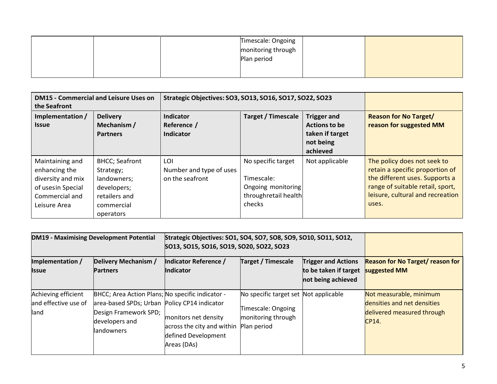|  | Timescale: Ongoing |  |
|--|--------------------|--|
|  | monitoring through |  |
|  | Plan period        |  |
|  |                    |  |
|  |                    |  |

| the Seafront                     | <b>DM15 - Commercial and Leisure Uses on</b>     | Strategic Objectives: SO3, SO13, SO16, SO17, SO22, SO23 |                           |                                                                                 |                                                         |
|----------------------------------|--------------------------------------------------|---------------------------------------------------------|---------------------------|---------------------------------------------------------------------------------|---------------------------------------------------------|
| Implementation /<br><b>Issue</b> | <b>Delivery</b><br>Mechanism/<br><b>Partners</b> | Indicator<br>Reference /<br>Indicator                   | <b>Target / Timescale</b> | <b>Trigger and</b><br>Actions to be<br>taken if target<br>not being<br>achieved | <b>Reason for No Target/</b><br>reason for suggested MM |
| Maintaining and                  | <b>BHCC</b> ; Seafront                           | LOI                                                     | No specific target        | Not applicable                                                                  | The policy does not seek to                             |
| enhancing the                    | Strategy;                                        | Number and type of uses                                 |                           |                                                                                 | retain a specific proportion of                         |
| diversity and mix                | landowners;                                      | on the seafront                                         | Timescale:                |                                                                                 | the different uses. Supports a                          |
| of usesin Special                | developers;                                      |                                                         | Ongoing monitoring        |                                                                                 | range of suitable retail, sport,                        |
| Commercial and                   | retailers and                                    |                                                         | throughretail health      |                                                                                 | leisure, cultural and recreation                        |
| Leisure Area                     | commercial                                       |                                                         | checks                    |                                                                                 | uses.                                                   |
|                                  | operators                                        |                                                         |                           |                                                                                 |                                                         |

|                                                     | <b>DM19 - Maximising Development Potential</b>                                                                                                            | Strategic Objectives: SO1, SO4, SO7, SO8, SO9, SO10, SO11, SO12,<br>SO13, SO15, SO16, SO19, SO20, SO22, SO23 |                                                                                                  |                                                                           |                                                                                               |
|-----------------------------------------------------|-----------------------------------------------------------------------------------------------------------------------------------------------------------|--------------------------------------------------------------------------------------------------------------|--------------------------------------------------------------------------------------------------|---------------------------------------------------------------------------|-----------------------------------------------------------------------------------------------|
| Implementation /<br>Issue                           | Delivery Mechanism /<br><b>Partners</b>                                                                                                                   | Indicator Reference /<br><b>Indicator</b>                                                                    | <b>Target / Timescale</b>                                                                        | <b>Trigger and Actions</b><br>to be taken if target<br>not being achieved | <b>Reason for No Target/ reason for</b><br>suggested MM                                       |
| Achieving efficient<br>and effective use of<br>land | BHCC; Area Action Plans; No specific indicator -<br>area-based SPDs; Urban Policy CP14 indicator<br>Design Framework SPD;<br>developers and<br>landowners | monitors net density<br>across the city and within<br>defined Development<br>Areas (DAs)                     | No specific target set Not applicable<br>Timescale: Ongoing<br>monitoring through<br>Plan period |                                                                           | Not measurable, minimum<br>densities and net densities<br>delivered measured through<br>CP14. |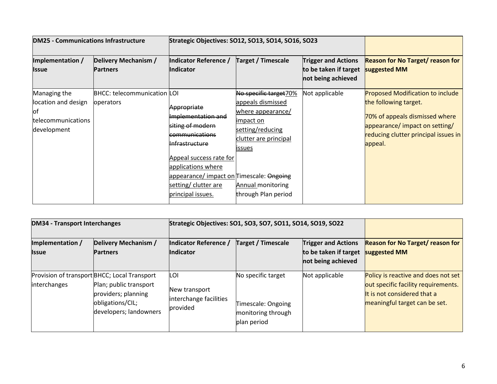| <b>DM25 - Communications Infrastructure</b>                                    |                                                 | Strategic Objectives: SO12, SO13, SO14, SO16, SO23                                                                                                                                                                                                    |                                                                                                                                                                                         |                                                                           |                                                                                                                                                                                         |
|--------------------------------------------------------------------------------|-------------------------------------------------|-------------------------------------------------------------------------------------------------------------------------------------------------------------------------------------------------------------------------------------------------------|-----------------------------------------------------------------------------------------------------------------------------------------------------------------------------------------|---------------------------------------------------------------------------|-----------------------------------------------------------------------------------------------------------------------------------------------------------------------------------------|
| Implementation /<br><b>Issue</b>                                               | Delivery Mechanism /<br><b>Partners</b>         | Indicator Reference /<br><b>Indicator</b>                                                                                                                                                                                                             | <b>Target / Timescale</b>                                                                                                                                                               | <b>Trigger and Actions</b><br>to be taken if target<br>not being achieved | <b>Reason for No Target/ reason for</b><br>suggested MM                                                                                                                                 |
| Managing the<br>location and design<br>юt<br>telecommunications<br>development | <b>BHCC: telecommunication LOI</b><br>operators | Appropriate<br>Implementation and<br>siting of modern<br><b>kommunications</b><br><del>Infrastructure</del><br>Appeal success rate for<br>applications where<br>appearance/ impact on Timescale: Ongoing<br>setting/ clutter are<br>principal issues. | No specific target70%<br>appeals dismissed<br>where appearance/<br>limpact on<br>setting/reducing<br>clutter are principal<br>issues<br><b>Annual monitoring</b><br>through Plan period | Not applicable                                                            | <b>Proposed Modification to include</b><br>the following target.<br>70% of appeals dismissed where<br>appearance/ impact on setting/<br>reducing clutter principal issues in<br>appeal. |

| <b>DM34 - Transport Interchanges</b> |                                                                                                                                             | Strategic Objectives: SO1, SO3, SO7, SO11, SO14, SO19, SO22 |                                                                               |                                                                           |                                                                                                                                            |
|--------------------------------------|---------------------------------------------------------------------------------------------------------------------------------------------|-------------------------------------------------------------|-------------------------------------------------------------------------------|---------------------------------------------------------------------------|--------------------------------------------------------------------------------------------------------------------------------------------|
| Implementation /<br><b>Issue</b>     | Delivery Mechanism /<br><b>Partners</b>                                                                                                     | Indicator Reference /<br><b>Indicator</b>                   | <b>Target / Timescale</b>                                                     | <b>Trigger and Actions</b><br>to be taken if target<br>not being achieved | <b>Reason for No Target/ reason for</b><br>suggested MM                                                                                    |
| interchanges                         | Provision of transport BHCC; Local Transport<br>Plan; public transport<br>providers; planning<br>obligations/CIL;<br>developers; landowners | LOI<br>New transport<br>interchange facilities<br>provided  | No specific target<br>Timescale: Ongoing<br>monitoring through<br>plan period | Not applicable                                                            | Policy is reactive and does not set<br>out specific facility requirements.<br>It is not considered that a<br>meaningful target can be set. |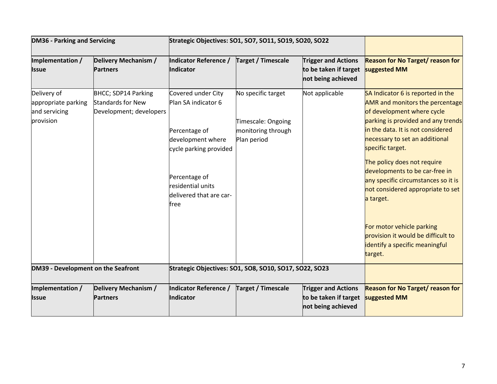| <b>DM36 - Parking and Servicing</b>                              |                                                                            | Strategic Objectives: SO1, SO7, SO11, SO19, SO20, SO22                                                                                                                             |                                                                               |                                                                           |                                                                                                                                                                                                                                                                                                                                                                                                      |
|------------------------------------------------------------------|----------------------------------------------------------------------------|------------------------------------------------------------------------------------------------------------------------------------------------------------------------------------|-------------------------------------------------------------------------------|---------------------------------------------------------------------------|------------------------------------------------------------------------------------------------------------------------------------------------------------------------------------------------------------------------------------------------------------------------------------------------------------------------------------------------------------------------------------------------------|
| Implementation /<br><b>Issue</b>                                 | Delivery Mechanism /<br><b>Partners</b>                                    | Indicator Reference /<br><b>Indicator</b>                                                                                                                                          | <b>Target / Timescale</b>                                                     | <b>Trigger and Actions</b><br>to be taken if target<br>not being achieved | <b>Reason for No Target/ reason for</b><br>suggested MM                                                                                                                                                                                                                                                                                                                                              |
| Delivery of<br>appropriate parking<br>and servicing<br>provision | BHCC; SDP14 Parking<br><b>Standards for New</b><br>Development; developers | Covered under City<br>Plan SA indicator 6<br>Percentage of<br>development where<br>cycle parking provided<br>Percentage of<br>residential units<br>delivered that are car-<br>free | No specific target<br>Timescale: Ongoing<br>monitoring through<br>Plan period | Not applicable                                                            | SA Indicator 6 is reported in the<br><b>AMR</b> and monitors the percentage<br>of development where cycle<br>parking is provided and any trends<br>in the data. It is not considered<br>necessary to set an additional<br>specific target.<br>The policy does not require<br>developments to be car-free in<br>any specific circumstances so it is<br>not considered appropriate to set<br>a target. |
|                                                                  |                                                                            |                                                                                                                                                                                    |                                                                               |                                                                           | For motor vehicle parking<br>provision it would be difficult to<br>identify a specific meaningful<br>target.                                                                                                                                                                                                                                                                                         |
| DM39 - Development on the Seafront                               |                                                                            | Strategic Objectives: SO1, SO8, SO10, SO17, SO22, SO23                                                                                                                             |                                                                               |                                                                           |                                                                                                                                                                                                                                                                                                                                                                                                      |
| Implementation /<br><b>Issue</b>                                 | Delivery Mechanism /<br><b>Partners</b>                                    | Indicator Reference /<br><b>Indicator</b>                                                                                                                                          | <b>Target / Timescale</b>                                                     | <b>Trigger and Actions</b><br>to be taken if target<br>not being achieved | <b>Reason for No Target/ reason for</b><br>suggested MM                                                                                                                                                                                                                                                                                                                                              |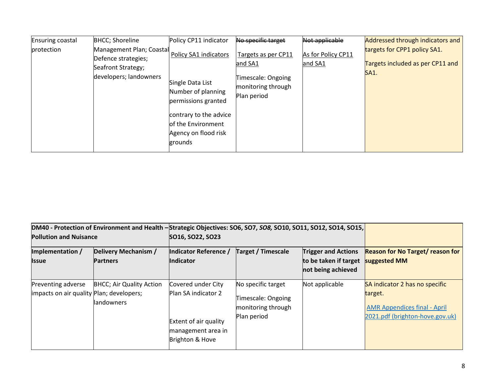| Ensuring coastal  | <b>BHCC</b> ; Shoreline                                                                         | Policy CP11 indicator                                                                                                                                                     | No specific target                                                                        | Not applicable                | Addressed through indicators and                                                |
|-------------------|-------------------------------------------------------------------------------------------------|---------------------------------------------------------------------------------------------------------------------------------------------------------------------------|-------------------------------------------------------------------------------------------|-------------------------------|---------------------------------------------------------------------------------|
| <b>protection</b> | Management Plan; Coastal<br>Defence strategies;<br>Seafront Strategy;<br>developers; landowners | Policy SA1 indicators<br>Single Data List<br>Number of planning<br>permissions granted<br>contrary to the advice<br>of the Environment<br>Agency on flood risk<br>grounds | Targets as per CP11<br>and SA1<br>Timescale: Ongoing<br>monitoring through<br>Plan period | As for Policy CP11<br>and SA1 | targets for CPP1 policy SA1.<br>Targets included as per CP11 and<br><b>SA1.</b> |

| DM40 - Protection of Environment and Health - Strategic Objectives: SO6, SO7, SO8, SO10, SO11, SO12, SO14, SO15,<br><b>Pollution and Nuisance</b> |                                                | SO16, SO22, SO23                                                                                            |                                                                               |                                                                           |                                                                                                                     |
|---------------------------------------------------------------------------------------------------------------------------------------------------|------------------------------------------------|-------------------------------------------------------------------------------------------------------------|-------------------------------------------------------------------------------|---------------------------------------------------------------------------|---------------------------------------------------------------------------------------------------------------------|
| Implementation /<br><b>Issue</b>                                                                                                                  | Delivery Mechanism /<br><b>Partners</b>        | Indicator Reference /<br><b>Indicator</b>                                                                   | <b>Target / Timescale</b>                                                     | <b>Trigger and Actions</b><br>to be taken if target<br>not being achieved | <b>Reason for No Target/ reason for</b><br>suggested MM                                                             |
| Preventing adverse<br>impacts on air quality Plan; developers;                                                                                    | <b>BHCC</b> ; Air Quality Action<br>landowners | Covered under City<br>Plan SA indicator 2<br>Extent of air quality<br>management area in<br>Brighton & Hove | No specific target<br>Timescale: Ongoing<br>monitoring through<br>Plan period | Not applicable                                                            | SA indicator 2 has no specific<br>target.<br><b>AMR Appendices final - April</b><br>2021.pdf (brighton-hove.gov.uk) |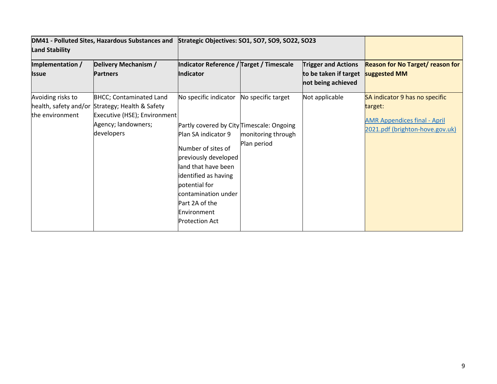| <b>Land Stability</b>                | DM41 - Polluted Sites, Hazardous Substances and                                                                                                        | Strategic Objectives: SO1, SO7, SO9, SO22, SO23                                                                                                                                                                                                                                          |                                                         |                                                                           |                                                                                                                     |
|--------------------------------------|--------------------------------------------------------------------------------------------------------------------------------------------------------|------------------------------------------------------------------------------------------------------------------------------------------------------------------------------------------------------------------------------------------------------------------------------------------|---------------------------------------------------------|---------------------------------------------------------------------------|---------------------------------------------------------------------------------------------------------------------|
| Implementation /<br><b>Issue</b>     | Delivery Mechanism /<br><b>Partners</b>                                                                                                                | Indicator Reference / Target / Timescale<br>Indicator                                                                                                                                                                                                                                    |                                                         | <b>Trigger and Actions</b><br>to be taken if target<br>not being achieved | <b>Reason for No Target/ reason for</b><br>suggested MM                                                             |
| Avoiding risks to<br>the environment | <b>BHCC; Contaminated Land</b><br>health, safety and/or Strategy; Health & Safety<br>Executive (HSE); Environment<br>Agency; landowners;<br>developers | No specific indicator<br>Partly covered by City Timescale: Ongoing<br>Plan SA indicator 9<br>Number of sites of<br>previously developed<br>land that have been<br>identified as having<br>potential for<br>contamination under<br>Part 2A of the<br>Environment<br><b>Protection Act</b> | No specific target<br>monitoring through<br>Plan period | Not applicable                                                            | SA indicator 9 has no specific<br>target:<br><b>AMR Appendices final - April</b><br>2021.pdf (brighton-hove.gov.uk) |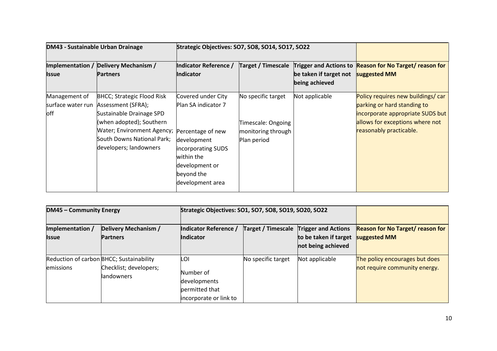| <b>DM43 - Sustainable Urban Drainage</b> |                                                                                                                                                                                                                                | Strategic Objectives: SO7, SO8, SO14, SO17, SO22                                                                                                                      |                                                                               |                                          |                                                                                                                                                                     |
|------------------------------------------|--------------------------------------------------------------------------------------------------------------------------------------------------------------------------------------------------------------------------------|-----------------------------------------------------------------------------------------------------------------------------------------------------------------------|-------------------------------------------------------------------------------|------------------------------------------|---------------------------------------------------------------------------------------------------------------------------------------------------------------------|
| <b>Issue</b>                             | <b>Implementation / Delivery Mechanism /</b><br><b>Partners</b>                                                                                                                                                                | Indicator Reference /<br>Indicator                                                                                                                                    |                                                                               | be taken if target not<br>being achieved | Target / Timescale Trigger and Actions to Reason for No Target/ reason for<br>suggested MM                                                                          |
| Management of<br>loff                    | <b>BHCC; Strategic Flood Risk</b><br>surface water run Assessment (SFRA);<br>Sustainable Drainage SPD<br>(when adopted); Southern<br><b>Water; Environment Agency;</b><br>South Downs National Park;<br>developers; landowners | Covered under City<br>Plan SA indicator 7<br>Percentage of new<br>development<br>incorporating SUDS<br>within the<br>development or<br>beyond the<br>development area | No specific target<br>Timescale: Ongoing<br>monitoring through<br>Plan period | Not applicable                           | Policy requires new buildings/ car<br>parking or hard standing to<br>incorporate appropriate SUDS but<br>allows for exceptions where not<br>reasonably practicable. |

| <b>DM45 - Community Energy</b>   |                                                                                         | Strategic Objectives: SO1, SO7, SO8, SO19, SO20, SO22    |                           |                                                                  |                                                                 |
|----------------------------------|-----------------------------------------------------------------------------------------|----------------------------------------------------------|---------------------------|------------------------------------------------------------------|-----------------------------------------------------------------|
| Implementation /<br><b>Issue</b> | Delivery Mechanism /<br><b>Partners</b>                                                 | Indicator Reference /<br>Indicator                       | <b>Target / Timescale</b> | <b>Trigger and Actions</b><br>to be taken if target suggested MM | <b>Reason for No Target/ reason for</b>                         |
|                                  |                                                                                         |                                                          |                           | not being achieved                                               |                                                                 |
| emissions                        | Reduction of carbon BHCC; Sustainability<br>Checklist; developers;<br><b>landowners</b> | LOI<br>Number of                                         | No specific target        | Not applicable                                                   | The policy encourages but does<br>not require community energy. |
|                                  |                                                                                         | developments<br>permitted that<br>incorporate or link to |                           |                                                                  |                                                                 |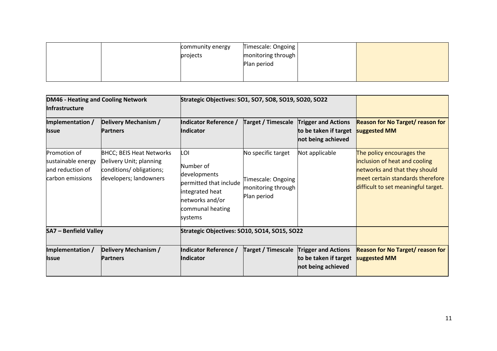|  | community energy | Timescale: Ongoing |  |
|--|------------------|--------------------|--|
|  | projects         | monitoring through |  |
|  |                  | Plan period        |  |
|  |                  |                    |  |
|  |                  |                    |  |

| <b>DM46 - Heating and Cooling Network</b><br><b>Infrastructure</b>         |                                                                                                                  | Strategic Objectives: SO1, SO7, SO8, SO19, SO20, SO22                                                                           |                                                                               |                                                                           |                                                                                                                                                                        |
|----------------------------------------------------------------------------|------------------------------------------------------------------------------------------------------------------|---------------------------------------------------------------------------------------------------------------------------------|-------------------------------------------------------------------------------|---------------------------------------------------------------------------|------------------------------------------------------------------------------------------------------------------------------------------------------------------------|
| Implementation /<br>Issue                                                  | Delivery Mechanism /<br><b>Partners</b>                                                                          | Indicator Reference /<br><b>Indicator</b>                                                                                       | <b>Target / Timescale</b>                                                     | <b>Trigger and Actions</b><br>to be taken if target<br>not being achieved | <b>Reason for No Target/ reason for</b><br>suggested MM                                                                                                                |
| Promotion of<br>sustainable energy<br>and reduction of<br>carbon emissions | <b>BHCC; BEIS Heat Networks</b><br>Delivery Unit; planning<br>conditions/ obligations;<br>developers; landowners | LOI<br>Number of<br>developments<br>permitted that include<br>integrated heat<br>networks and/or<br>communal heating<br>systems | No specific target<br>Timescale: Ongoing<br>monitoring through<br>Plan period | Not applicable                                                            | The policy encourages the<br>inclusion of heat and cooling<br>networks and that they should<br>meet certain standards therefore<br>difficult to set meaningful target. |
| <b>SA7 - Benfield Valley</b>                                               |                                                                                                                  | Strategic Objectives: SO10, SO14, SO15, SO22                                                                                    |                                                                               |                                                                           |                                                                                                                                                                        |
| Implementation /<br><b>Issue</b>                                           | Delivery Mechanism /<br><b>Partners</b>                                                                          | Indicator Reference /<br><b>Indicator</b>                                                                                       | <b>Target / Timescale</b>                                                     | <b>Trigger and Actions</b><br>to be taken if target<br>not being achieved | <b>Reason for No Target/ reason for</b><br>suggested MM                                                                                                                |